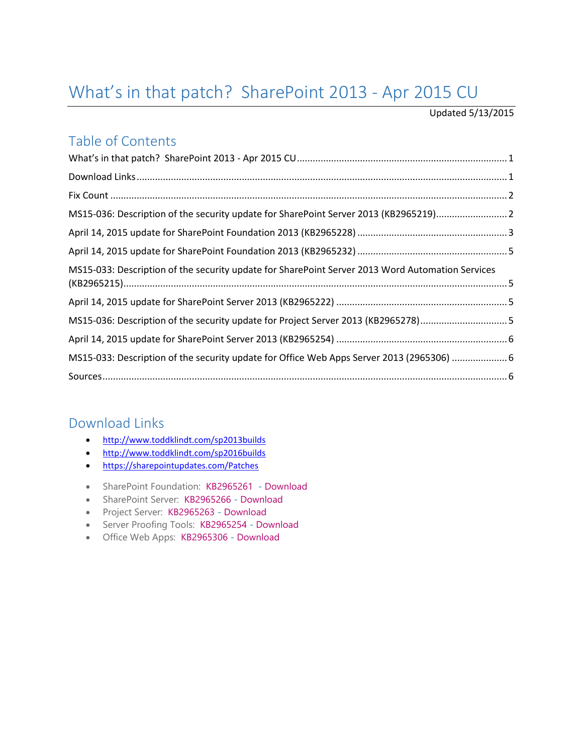# <span id="page-0-0"></span>What's in that patch? SharePoint 2013 - Apr 2015 CU

#### Updated 5/13/2015

### Table of Contents

| MS15-036: Description of the security update for SharePoint Server 2013 (KB2965219)2      |
|-------------------------------------------------------------------------------------------|
|                                                                                           |
|                                                                                           |
|                                                                                           |
|                                                                                           |
| MS15-036: Description of the security update for Project Server 2013 (KB2965278)5         |
|                                                                                           |
| MS15-033: Description of the security update for Office Web Apps Server 2013 (2965306)  6 |
|                                                                                           |
|                                                                                           |

### <span id="page-0-1"></span>Download Links

- <http://www.toddklindt.com/sp2013builds>
- <http://www.toddklindt.com/sp2016builds>
- **•** <https://sharepointupdates.com/Patches>
- SharePoint Foundation: [KB2965261](http://support.microsoft.com/KB/2965261)  [Download](http://www.microsoft.com/en-us/download/details.aspx?id=46574)
- SharePoint Server: [KB2965266](http://support.microsoft.com/KB/2965266) [Download](http://www.microsoft.com/en-us/download/details.aspx?id=46574)
- Project Server: [KB2965263](http://support.microsoft.com/KB/2965263) [Download](http://www.microsoft.com/en-us/download/details.aspx?id=46590)
- Server Proofing Tools: [KB2965254](http://support.microsoft.com/kb/2965254) [Download](http://www.microsoft.com/en-us/download/details.aspx?id=46562)
- <span id="page-0-2"></span>Office Web Apps: [KB2965306](http://support.microsoft.com/KB/2965306) - [Download](http://www.microsoft.com/en-us/download/details.aspx?id=46562)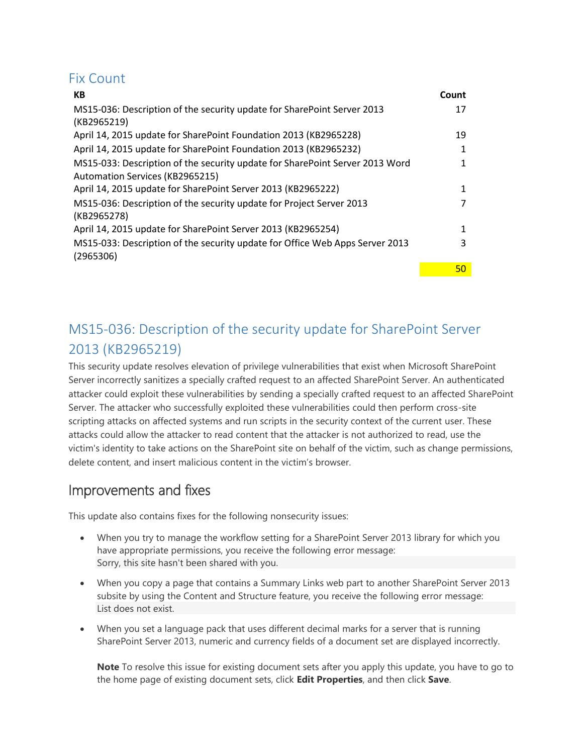### Fix Count

| КB                                                                           | Count |
|------------------------------------------------------------------------------|-------|
| MS15-036: Description of the security update for SharePoint Server 2013      | 17    |
| (KB2965219)                                                                  |       |
| April 14, 2015 update for SharePoint Foundation 2013 (KB2965228)             | 19    |
| April 14, 2015 update for SharePoint Foundation 2013 (KB2965232)             | 1     |
| MS15-033: Description of the security update for SharePoint Server 2013 Word |       |
| Automation Services (KB2965215)                                              |       |
| April 14, 2015 update for SharePoint Server 2013 (KB2965222)                 |       |
| MS15-036: Description of the security update for Project Server 2013         |       |
| (KB2965278)                                                                  |       |
| April 14, 2015 update for SharePoint Server 2013 (KB2965254)                 | 1     |
| MS15-033: Description of the security update for Office Web Apps Server 2013 | 3     |
| (2965306)                                                                    |       |
|                                                                              | 50    |

## <span id="page-1-0"></span>MS15-036: Description of the security update for SharePoint Server 2013 (KB2965219)

This security update resolves elevation of privilege vulnerabilities that exist when Microsoft SharePoint Server incorrectly sanitizes a specially crafted request to an affected SharePoint Server. An authenticated attacker could exploit these vulnerabilities by sending a specially crafted request to an affected SharePoint Server. The attacker who successfully exploited these vulnerabilities could then perform cross-site scripting attacks on affected systems and run scripts in the security context of the current user. These attacks could allow the attacker to read content that the attacker is not authorized to read, use the victim's identity to take actions on the SharePoint site on behalf of the victim, such as change permissions, delete content, and insert malicious content in the victim's browser.

### Improvements and fixes

This update also contains fixes for the following nonsecurity issues:

- When you try to manage the workflow setting for a SharePoint Server 2013 library for which you have appropriate permissions, you receive the following error message: Sorry, this site hasn't been shared with you.
- When you copy a page that contains a Summary Links web part to another SharePoint Server 2013 subsite by using the Content and Structure feature, you receive the following error message: List does not exist.
- When you set a language pack that uses different decimal marks for a server that is running SharePoint Server 2013, numeric and currency fields of a document set are displayed incorrectly.

**Note** To resolve this issue for existing document sets after you apply this update, you have to go to the home page of existing document sets, click **Edit Properties**, and then click **Save**.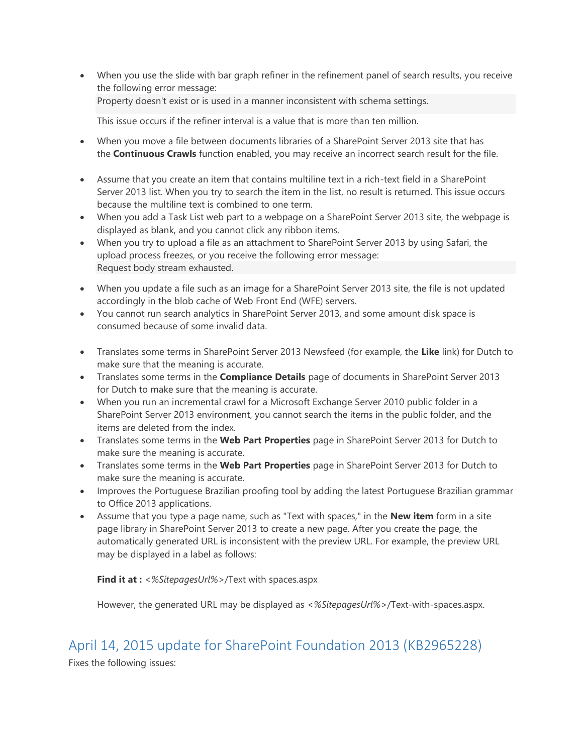When you use the slide with bar graph refiner in the refinement panel of search results, you receive the following error message:

Property doesn't exist or is used in a manner inconsistent with schema settings.

This issue occurs if the refiner interval is a value that is more than ten million.

- When you move a file between documents libraries of a SharePoint Server 2013 site that has the **Continuous Crawls** function enabled, you may receive an incorrect search result for the file.
- Assume that you create an item that contains multiline text in a rich-text field in a SharePoint Server 2013 list. When you try to search the item in the list, no result is returned. This issue occurs because the multiline text is combined to one term.
- When you add a Task List web part to a webpage on a SharePoint Server 2013 site, the webpage is displayed as blank, and you cannot click any ribbon items.
- When you try to upload a file as an attachment to SharePoint Server 2013 by using Safari, the upload process freezes, or you receive the following error message: Request body stream exhausted.
- When you update a file such as an image for a SharePoint Server 2013 site, the file is not updated accordingly in the blob cache of Web Front End (WFE) servers.
- You cannot run search analytics in SharePoint Server 2013, and some amount disk space is consumed because of some invalid data.
- Translates some terms in SharePoint Server 2013 Newsfeed (for example, the **Like** link) for Dutch to make sure that the meaning is accurate.
- Translates some terms in the **Compliance Details** page of documents in SharePoint Server 2013 for Dutch to make sure that the meaning is accurate.
- When you run an incremental crawl for a Microsoft Exchange Server 2010 public folder in a SharePoint Server 2013 environment, you cannot search the items in the public folder, and the items are deleted from the index.
- Translates some terms in the **Web Part Properties** page in SharePoint Server 2013 for Dutch to make sure the meaning is accurate.
- Translates some terms in the **Web Part Properties** page in SharePoint Server 2013 for Dutch to make sure the meaning is accurate.
- Improves the Portuguese Brazilian proofing tool by adding the latest Portuguese Brazilian grammar to Office 2013 applications.
- Assume that you type a page name, such as "Text with spaces," in the **New item** form in a site page library in SharePoint Server 2013 to create a new page. After you create the page, the automatically generated URL is inconsistent with the preview URL. For example, the preview URL may be displayed in a label as follows:

**Find it at :** *<%SitepagesUrl%>*/Text with spaces.aspx

However, the generated URL may be displayed as *<%SitepagesUrl%>*/Text-with-spaces.aspx.

### <span id="page-2-0"></span>April 14, 2015 update for SharePoint Foundation 2013 (KB2965228)

Fixes the following issues: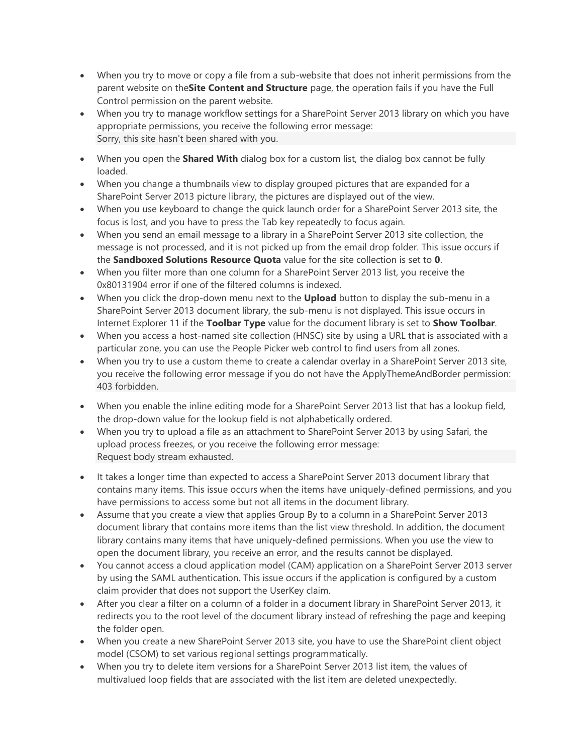- When you try to move or copy a file from a sub-website that does not inherit permissions from the parent website on the**Site Content and Structure** page, the operation fails if you have the Full Control permission on the parent website.
- When you try to manage workflow settings for a SharePoint Server 2013 library on which you have appropriate permissions, you receive the following error message: Sorry, this site hasn't been shared with you.
- When you open the **Shared With** dialog box for a custom list, the dialog box cannot be fully loaded.
- When you change a thumbnails view to display grouped pictures that are expanded for a SharePoint Server 2013 picture library, the pictures are displayed out of the view.
- When you use keyboard to change the quick launch order for a SharePoint Server 2013 site, the focus is lost, and you have to press the Tab key repeatedly to focus again.
- When you send an email message to a library in a SharePoint Server 2013 site collection, the message is not processed, and it is not picked up from the email drop folder. This issue occurs if the **Sandboxed Solutions Resource Quota** value for the site collection is set to **0**.
- When you filter more than one column for a SharePoint Server 2013 list, you receive the 0x80131904 error if one of the filtered columns is indexed.
- When you click the drop-down menu next to the **Upload** button to display the sub-menu in a SharePoint Server 2013 document library, the sub-menu is not displayed. This issue occurs in Internet Explorer 11 if the **Toolbar Type** value for the document library is set to **Show Toolbar**.
- When you access a host-named site collection (HNSC) site by using a URL that is associated with a particular zone, you can use the People Picker web control to find users from all zones.
- When you try to use a custom theme to create a calendar overlay in a SharePoint Server 2013 site, you receive the following error message if you do not have the ApplyThemeAndBorder permission: 403 forbidden.
- When you enable the inline editing mode for a SharePoint Server 2013 list that has a lookup field, the drop-down value for the lookup field is not alphabetically ordered.
- When you try to upload a file as an attachment to SharePoint Server 2013 by using Safari, the upload process freezes, or you receive the following error message: Request body stream exhausted.
- It takes a longer time than expected to access a SharePoint Server 2013 document library that contains many items. This issue occurs when the items have uniquely-defined permissions, and you have permissions to access some but not all items in the document library.
- Assume that you create a view that applies Group By to a column in a SharePoint Server 2013 document library that contains more items than the list view threshold. In addition, the document library contains many items that have uniquely-defined permissions. When you use the view to open the document library, you receive an error, and the results cannot be displayed.
- You cannot access a cloud application model (CAM) application on a SharePoint Server 2013 server by using the SAML authentication. This issue occurs if the application is configured by a custom claim provider that does not support the UserKey claim.
- After you clear a filter on a column of a folder in a document library in SharePoint Server 2013, it redirects you to the root level of the document library instead of refreshing the page and keeping the folder open.
- When you create a new SharePoint Server 2013 site, you have to use the SharePoint client object model (CSOM) to set various regional settings programmatically.
- When you try to delete item versions for a SharePoint Server 2013 list item, the values of multivalued loop fields that are associated with the list item are deleted unexpectedly.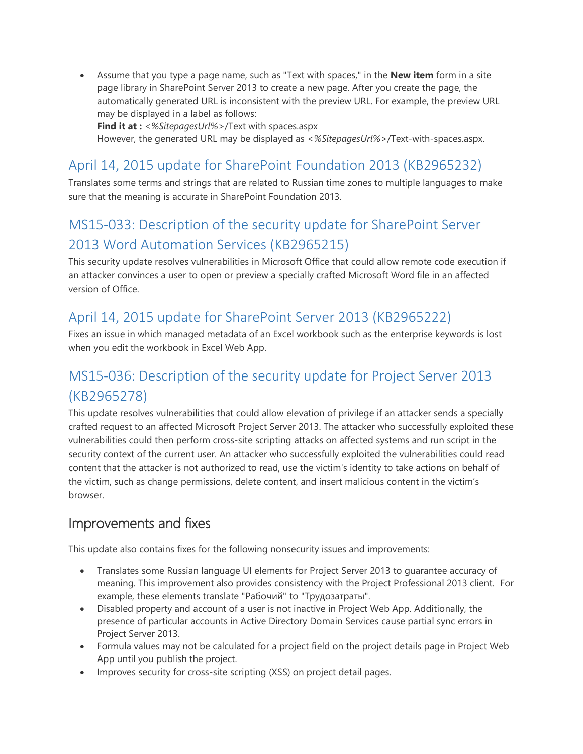Assume that you type a page name, such as "Text with spaces," in the **New item** form in a site page library in SharePoint Server 2013 to create a new page. After you create the page, the automatically generated URL is inconsistent with the preview URL. For example, the preview URL may be displayed in a label as follows:

**Find it at :** *<%SitepagesUrl%>*/Text with spaces.aspx

However, the generated URL may be displayed as *<%SitepagesUrl%>*/Text-with-spaces.aspx.

### <span id="page-4-0"></span>April 14, 2015 update for SharePoint Foundation 2013 (KB2965232)

Translates some terms and strings that are related to Russian time zones to multiple languages to make sure that the meaning is accurate in SharePoint Foundation 2013.

## <span id="page-4-1"></span>MS15-033: Description of the security update for SharePoint Server 2013 Word Automation Services (KB2965215)

This security update resolves vulnerabilities in Microsoft Office that could allow remote code execution if an attacker convinces a user to open or preview a specially crafted Microsoft Word file in an affected version of Office.

### <span id="page-4-2"></span>April 14, 2015 update for SharePoint Server 2013 (KB2965222)

Fixes an issue in which managed metadata of an Excel workbook such as the enterprise keywords is lost when you edit the workbook in Excel Web App.

### <span id="page-4-3"></span>MS15-036: Description of the security update for Project Server 2013 (KB2965278)

This update resolves vulnerabilities that could allow elevation of privilege if an attacker sends a specially crafted request to an affected Microsoft Project Server 2013. The attacker who successfully exploited these vulnerabilities could then perform cross-site scripting attacks on affected systems and run script in the security context of the current user. An attacker who successfully exploited the vulnerabilities could read content that the attacker is not authorized to read, use the victim's identity to take actions on behalf of the victim, such as change permissions, delete content, and insert malicious content in the victim's browser.

### Improvements and fixes

This update also contains fixes for the following nonsecurity issues and improvements:

- Translates some Russian language UI elements for Project Server 2013 to guarantee accuracy of meaning. This improvement also provides consistency with the Project Professional 2013 client. For example, these elements translate "Рабочий" to "Трудозатраты".
- Disabled property and account of a user is not inactive in Project Web App. Additionally, the presence of particular accounts in Active Directory Domain Services cause partial sync errors in Project Server 2013.
- Formula values may not be calculated for a project field on the project details page in Project Web App until you publish the project.
- Improves security for cross-site scripting (XSS) on project detail pages.